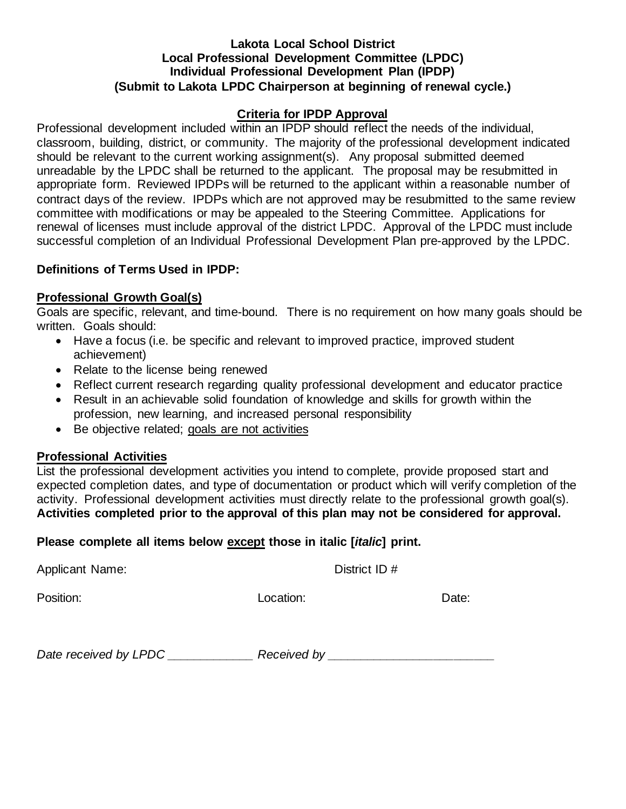### **Lakota Local School District Local Professional Development Committee (LPDC) Individual Professional Development Plan (IPDP) (Submit to Lakota LPDC Chairperson at beginning of renewal cycle.)**

### **Criteria for IPDP Approval**

Professional development included within an IPDP should reflect the needs of the individual, classroom, building, district, or community. The majority of the professional development indicated should be relevant to the current working assignment(s). Any proposal submitted deemed unreadable by the LPDC shall be returned to the applicant. The proposal may be resubmitted in appropriate form. Reviewed IPDPs will be returned to the applicant within a reasonable number of contract days of the review. IPDPs which are not approved may be resubmitted to the same review committee with modifications or may be appealed to the Steering Committee. Applications for renewal of licenses must include approval of the district LPDC. Approval of the LPDC must include successful completion of an Individual Professional Development Plan pre-approved by the LPDC.

### **Definitions of Terms Used in IPDP:**

# **Professional Growth Goal(s)**

Goals are specific, relevant, and time-bound. There is no requirement on how many goals should be written. Goals should:

- Have a focus (i.e. be specific and relevant to improved practice, improved student achievement)
- Relate to the license being renewed
- Reflect current research regarding quality professional development and educator practice
- Result in an achievable solid foundation of knowledge and skills for growth within the profession, new learning, and increased personal responsibility
- Be objective related; goals are not activities

### **Professional Activities**

List the professional development activities you intend to complete, provide proposed start and expected completion dates, and type of documentation or product which will verify completion of the activity. Professional development activities must directly relate to the professional growth goal(s). **Activities completed prior to the approval of this plan may not be considered for approval.**

### **Please complete all items below except those in italic [***italic***] print.**

Applicant Name: District ID #

Position: Date: Contact Department Contact Department Department Department Department Department Department D

*Date received by LPDC \_\_\_\_\_\_\_\_\_\_\_\_\_ Received by \_\_\_\_\_\_\_\_\_\_\_\_\_\_\_\_\_\_\_\_\_\_\_\_\_*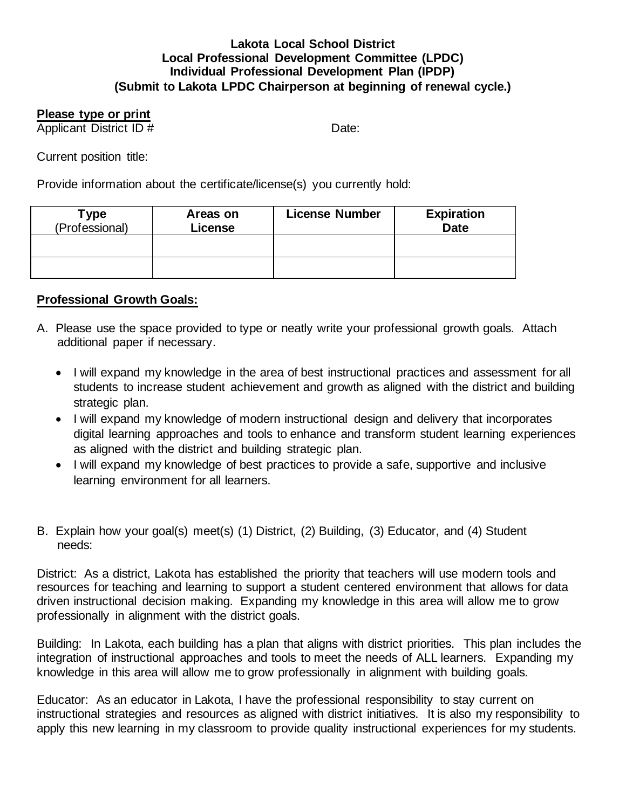#### **Lakota Local School District Local Professional Development Committee (LPDC) Individual Professional Development Plan (IPDP) (Submit to Lakota LPDC Chairperson at beginning of renewal cycle.)**

# **Please type or print**

Applicant District ID # Date:

Current position title:

Provide information about the certificate/license(s) you currently hold:

| Type<br>(Professional) | Areas on<br>License | <b>License Number</b> | <b>Expiration</b><br><b>Date</b> |
|------------------------|---------------------|-----------------------|----------------------------------|
|                        |                     |                       |                                  |
|                        |                     |                       |                                  |

# **Professional Growth Goals:**

- A. Please use the space provided to type or neatly write your professional growth goals. Attach additional paper if necessary.
	- I will expand my knowledge in the area of best instructional practices and assessment for all students to increase student achievement and growth as aligned with the district and building strategic plan.
	- I will expand my knowledge of modern instructional design and delivery that incorporates digital learning approaches and tools to enhance and transform student learning experiences as aligned with the district and building strategic plan.
	- I will expand my knowledge of best practices to provide a safe, supportive and inclusive learning environment for all learners.
- B. Explain how your goal(s) meet(s) (1) District, (2) Building, (3) Educator, and (4) Student needs:

District: As a district, Lakota has established the priority that teachers will use modern tools and resources for teaching and learning to support a student centered environment that allows for data driven instructional decision making. Expanding my knowledge in this area will allow me to grow professionally in alignment with the district goals.

Building: In Lakota, each building has a plan that aligns with district priorities. This plan includes the integration of instructional approaches and tools to meet the needs of ALL learners. Expanding my knowledge in this area will allow me to grow professionally in alignment with building goals.

Educator: As an educator in Lakota, I have the professional responsibility to stay current on instructional strategies and resources as aligned with district initiatives. It is also my responsibility to apply this new learning in my classroom to provide quality instructional experiences for my students.